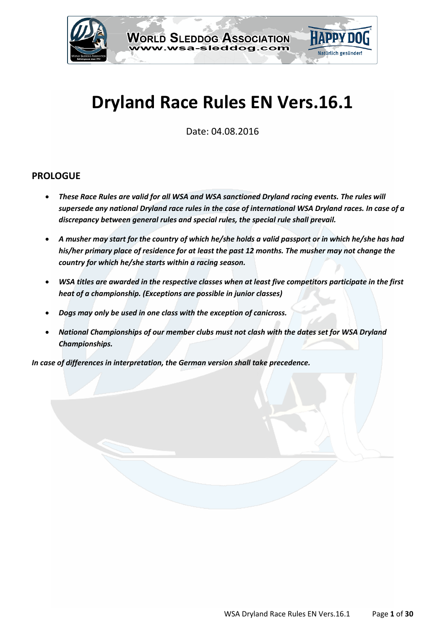

# **Dryland Race Rules EN Vers.16.1**

Date: 04.08.2016

# **PROLOGUE**

- *These Race Rules are valid for all WSA and WSA sanctioned Dryland racing events. The rules will supersede any national Dryland race rules in the case of international WSA Dryland races. In case of a discrepancy between general rules and special rules, the special rule shall prevail.*
- *A musher may start for the country of which he/she holds a valid passport or in which he/she has had his/her primary place of residence for at least the past 12 months. The musher may not change the country for which he/she starts within a racing season.*
- *WSA titles are awarded in the respective classes when at least five competitors participate in the first heat of a championship. (Exceptions are possible in junior classes)*
- *Dogs may only be used in one class with the exception of canicross.*
- *National Championships of our member clubs must not clash with the dates set for WSA Dryland Championships.*

*In case of differences in interpretation, the German version shall take precedence.*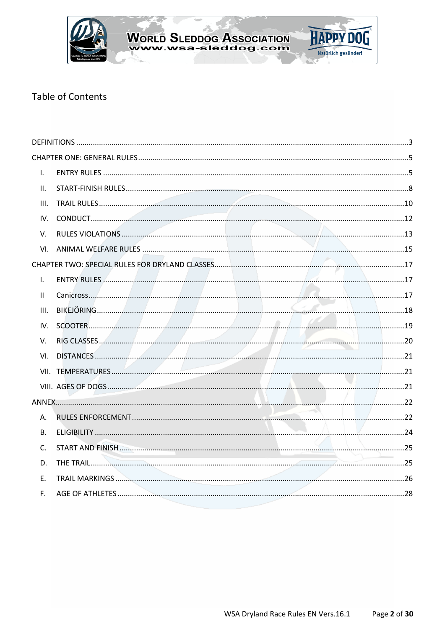

# **Table of Contents**

| IV. | SCOOTER 2000 19 |
|-----|-----------------|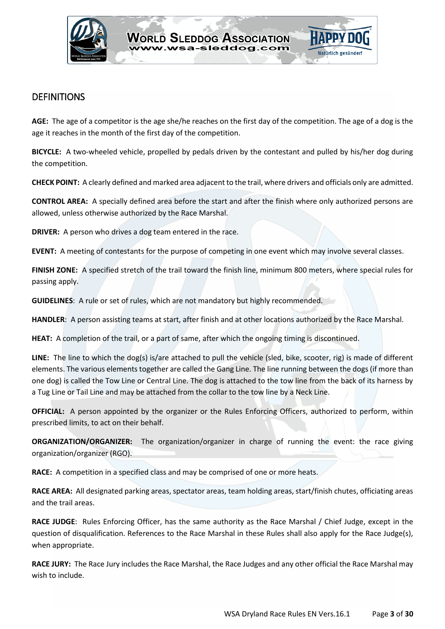

# <span id="page-2-0"></span>DEFINITIONS

**AGE:** The age of a competitor is the age she/he reaches on the first day of the competition. The age of a dog is the age it reaches in the month of the first day of the competition.

**BICYCLE:** A two-wheeled vehicle, propelled by pedals driven by the contestant and pulled by his/her dog during the competition.

**CHECK POINT:** A clearly defined and marked area adjacent to the trail, where drivers and officials only are admitted.

**CONTROL AREA:** A specially defined area before the start and after the finish where only authorized persons are allowed, unless otherwise authorized by the Race Marshal.

**DRIVER:** A person who drives a dog team entered in the race.

**EVENT:** A meeting of contestants for the purpose of competing in one event which may involve several classes.

**FINISH ZONE:** A specified stretch of the trail toward the finish line, minimum 800 meters, where special rules for passing apply.

**GUIDELINES**: A rule or set of rules, which are not mandatory but highly recommended.

**HANDLER**: A person assisting teams at start, after finish and at other locations authorized by the Race Marshal.

**HEAT:** A completion of the trail, or a part of same, after which the ongoing timing is discontinued.

**LINE:** The line to which the dog(s) is/are attached to pull the vehicle (sled, bike, scooter, rig) is made of different elements. The various elements together are called the Gang Line. The line running between the dogs (if more than one dog) is called the Tow Line or Central Line. The dog is attached to the tow line from the back of its harness by a Tug Line or Tail Line and may be attached from the collar to the tow line by a Neck Line.

**OFFICIAL:** A person appointed by the organizer or the Rules Enforcing Officers, authorized to perform, within prescribed limits, to act on their behalf.

**ORGANIZATION/ORGANIZER:** The organization/organizer in charge of running the event: the race giving organization/organizer (RGO).

**RACE:** A competition in a specified class and may be comprised of one or more heats.

**RACE AREA:** All designated parking areas, spectator areas, team holding areas, start/finish chutes, officiating areas and the trail areas.

**RACE JUDGE**: Rules Enforcing Officer, has the same authority as the Race Marshal / Chief Judge, except in the question of disqualification. References to the Race Marshal in these Rules shall also apply for the Race Judge(s), when appropriate.

**RACE JURY:** The Race Jury includes the Race Marshal, the Race Judges and any other official the Race Marshal may wish to include.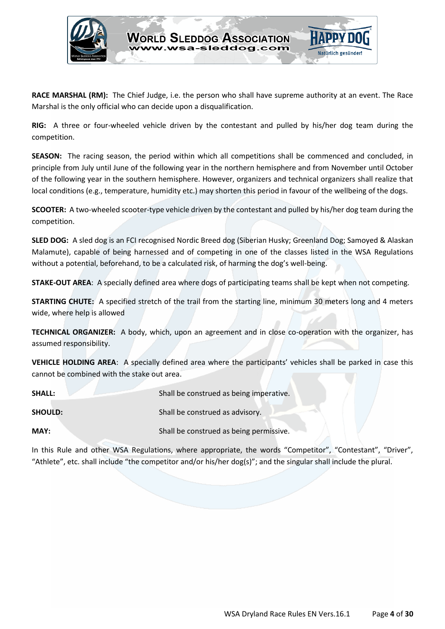

**RACE MARSHAL (RM):** The Chief Judge, i.e. the person who shall have supreme authority at an event. The Race Marshal is the only official who can decide upon a disqualification.

**RIG:** A three or four-wheeled vehicle driven by the contestant and pulled by his/her dog team during the competition.

**SEASON:** The racing season, the period within which all competitions shall be commenced and concluded, in principle from July until June of the following year in the northern hemisphere and from November until October of the following year in the southern hemisphere. However, organizers and technical organizers shall realize that local conditions (e.g., temperature, humidity etc.) may shorten this period in favour of the wellbeing of the dogs.

**SCOOTER:** A two-wheeled scooter-type vehicle driven by the contestant and pulled by his/her dog team during the competition.

**SLED DOG:** A sled dog is an FCI recognised Nordic Breed dog (Siberian Husky; Greenland Dog; Samoyed & Alaskan Malamute), capable of being harnessed and of competing in one of the classes listed in the WSA Regulations without a potential, beforehand, to be a calculated risk, of harming the dog's well-being.

**STAKE-OUT AREA**: A specially defined area where dogs of participating teams shall be kept when not competing.

**STARTING CHUTE:** A specified stretch of the trail from the starting line, minimum 30 meters long and 4 meters wide, where help is allowed

**TECHNICAL ORGANIZER:** A body, which, upon an agreement and in close co-operation with the organizer, has assumed responsibility.

**VEHICLE HOLDING AREA**: A specially defined area where the participants' vehicles shall be parked in case this cannot be combined with the stake out area.

| <b>SHALL:</b>  | Shall be construed as being imperative. |
|----------------|-----------------------------------------|
| <b>SHOULD:</b> | Shall be construed as advisory.         |
| MAY:           | Shall be construed as being permissive. |

In this Rule and other WSA Regulations, where appropriate, the words "Competitor", "Contestant", "Driver", "Athlete", etc. shall include "the competitor and/or his/her dog(s)"; and the singular shall include the plural.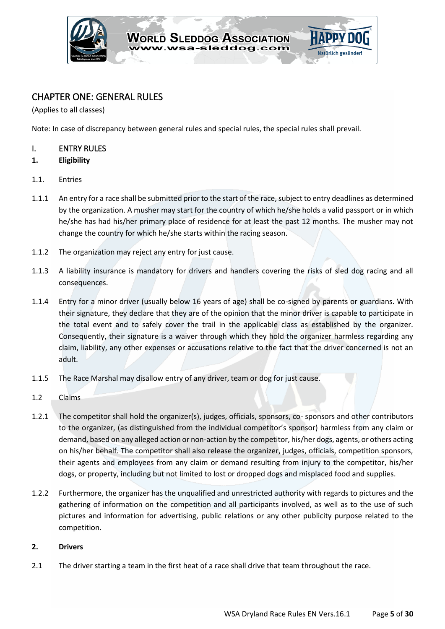

# <span id="page-4-0"></span>CHAPTER ONE: GENERAL RULES

(Applies to all classes)

Note: In case of discrepancy between general rules and special rules, the special rules shall prevail.

# <span id="page-4-1"></span>I. ENTRY RULES

- **1. Eligibility**
- 1.1. Entries
- 1.1.1 An entry for a race shall be submitted prior to the start of the race, subject to entry deadlines as determined by the organization. A musher may start for the country of which he/she holds a valid passport or in which he/she has had his/her primary place of residence for at least the past 12 months. The musher may not change the country for which he/she starts within the racing season.
- 1.1.2 The organization may reject any entry for just cause.
- 1.1.3 A liability insurance is mandatory for drivers and handlers covering the risks of sled dog racing and all consequences.
- 1.1.4 Entry for a minor driver (usually below 16 years of age) shall be co-signed by parents or guardians. With their signature, they declare that they are of the opinion that the minor driver is capable to participate in the total event and to safely cover the trail in the applicable class as established by the organizer. Consequently, their signature is a waiver through which they hold the organizer harmless regarding any claim, liability, any other expenses or accusations relative to the fact that the driver concerned is not an adult.
- 1.1.5 The Race Marshal may disallow entry of any driver, team or dog for just cause.
- 1.2 Claims
- 1.2.1 The competitor shall hold the organizer(s), judges, officials, sponsors, co- sponsors and other contributors to the organizer, (as distinguished from the individual competitor's sponsor) harmless from any claim or demand, based on any alleged action or non-action by the competitor, his/her dogs, agents, or others acting on his/her behalf. The competitor shall also release the organizer, judges, officials, competition sponsors, their agents and employees from any claim or demand resulting from injury to the competitor, his/her dogs, or property, including but not limited to lost or dropped dogs and misplaced food and supplies.
- 1.2.2 Furthermore, the organizer has the unqualified and unrestricted authority with regards to pictures and the gathering of information on the competition and all participants involved, as well as to the use of such pictures and information for advertising, public relations or any other publicity purpose related to the competition.

#### **2. Drivers**

2.1 The driver starting a team in the first heat of a race shall drive that team throughout the race.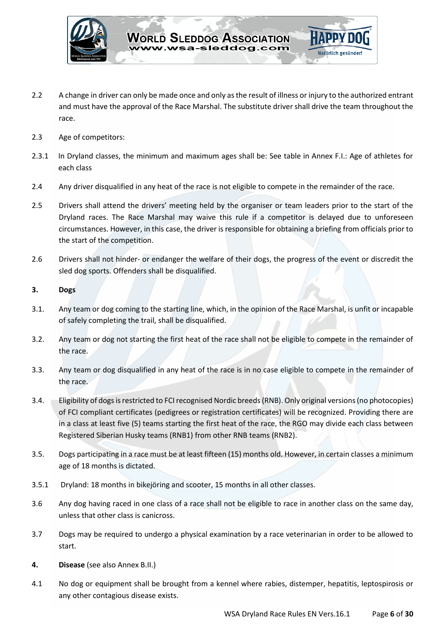

- 2.2 A change in driver can only be made once and only as the result of illness or injury to the authorized entrant and must have the approval of the Race Marshal. The substitute driver shall drive the team throughout the race.
- 2.3 Age of competitors:
- 2.3.1 In Dryland classes, the minimum and maximum ages shall be: See table in Annex F.I.: Age of athletes for each class
- 2.4 Any driver disqualified in any heat of the race is not eligible to compete in the remainder of the race.
- 2.5 Drivers shall attend the drivers' meeting held by the organiser or team leaders prior to the start of the Dryland races. The Race Marshal may waive this rule if a competitor is delayed due to unforeseen circumstances. However, in this case, the driver is responsible for obtaining a briefing from officials prior to the start of the competition.
- 2.6 Drivers shall not hinder- or endanger the welfare of their dogs, the progress of the event or discredit the sled dog sports. Offenders shall be disqualified.

#### **3. Dogs**

- 3.1. Any team or dog coming to the starting line, which, in the opinion of the Race Marshal, is unfit or incapable of safely completing the trail, shall be disqualified.
- 3.2. Any team or dog not starting the first heat of the race shall not be eligible to compete in the remainder of the race.
- 3.3. Any team or dog disqualified in any heat of the race is in no case eligible to compete in the remainder of the race.
- 3.4. Eligibility of dogs is restricted to FCI recognised Nordic breeds (RNB). Only original versions (no photocopies) of FCI compliant certificates (pedigrees or registration certificates) will be recognized. Providing there are in a class at least five (5) teams starting the first heat of the race, the RGO may divide each class between Registered Siberian Husky teams (RNB1) from other RNB teams (RNB2).
- 3.5. Dogs participating in a race must be at least fifteen (15) months old. However, in certain classes a minimum age of 18 months is dictated.
- 3.5.1 Dryland: 18 months in bikejöring and scooter, 15 months in all other classes.
- 3.6 Any dog having raced in one class of a race shall not be eligible to race in another class on the same day, unless that other class is canicross.
- 3.7 Dogs may be required to undergo a physical examination by a race veterinarian in order to be allowed to start.
- **4. Disease** (see also Annex B.II.)
- 4.1 No dog or equipment shall be brought from a kennel where rabies, distemper, hepatitis, leptospirosis or any other contagious disease exists.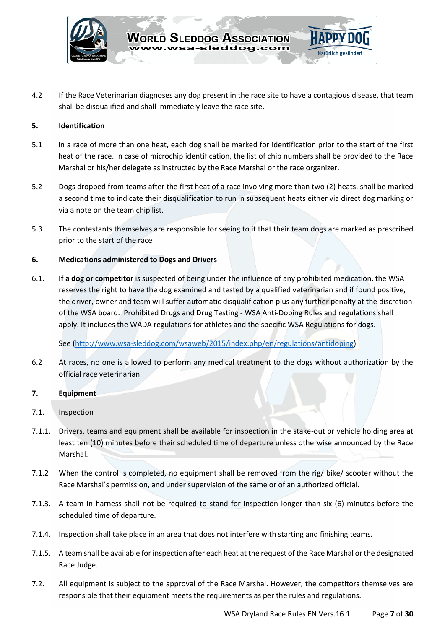

4.2 If the Race Veterinarian diagnoses any dog present in the race site to have a contagious disease, that team shall be disqualified and shall immediately leave the race site.

#### **5. Identification**

- 5.1 In a race of more than one heat, each dog shall be marked for identification prior to the start of the first heat of the race. In case of microchip identification, the list of chip numbers shall be provided to the Race Marshal or his/her delegate as instructed by the Race Marshal or the race organizer.
- 5.2 Dogs dropped from teams after the first heat of a race involving more than two (2) heats, shall be marked a second time to indicate their disqualification to run in subsequent heats either via direct dog marking or via a note on the team chip list.
- 5.3 The contestants themselves are responsible for seeing to it that their team dogs are marked as prescribed prior to the start of the race

#### **6. Medications administered to Dogs and Drivers**

6.1. **If a dog or competitor** is suspected of being under the influence of any prohibited medication, the WSA reserves the right to have the dog examined and tested by a qualified veterinarian and if found positive, the driver, owner and team will suffer automatic disqualification plus any further penalty at the discretion of the WSA board. Prohibited Drugs and Drug Testing - WSA Anti-Doping Rules and regulations shall apply. It includes the WADA regulations for athletes and the specific WSA Regulations for dogs.

See [\(http://www.wsa-sleddog.com/wsaweb/2015/index.php/en/regulations/antidoping\)](http://www.wsa-sleddog.com/wsaweb/2015/index.php/en/regulations/antidoping)

6.2 At races, no one is allowed to perform any medical treatment to the dogs without authorization by the official race veterinarian.

### **7. Equipment**

- 7.1. Inspection
- 7.1.1. Drivers, teams and equipment shall be available for inspection in the stake-out or vehicle holding area at least ten (10) minutes before their scheduled time of departure unless otherwise announced by the Race Marshal.
- 7.1.2 When the control is completed, no equipment shall be removed from the rig/ bike/ scooter without the Race Marshal's permission, and under supervision of the same or of an authorized official.
- 7.1.3. A team in harness shall not be required to stand for inspection longer than six (6) minutes before the scheduled time of departure.
- 7.1.4. Inspection shall take place in an area that does not interfere with starting and finishing teams.
- 7.1.5. A team shall be available for inspection after each heat at the request of the Race Marshal or the designated Race Judge.
- 7.2. All equipment is subject to the approval of the Race Marshal. However, the competitors themselves are responsible that their equipment meets the requirements as per the rules and regulations.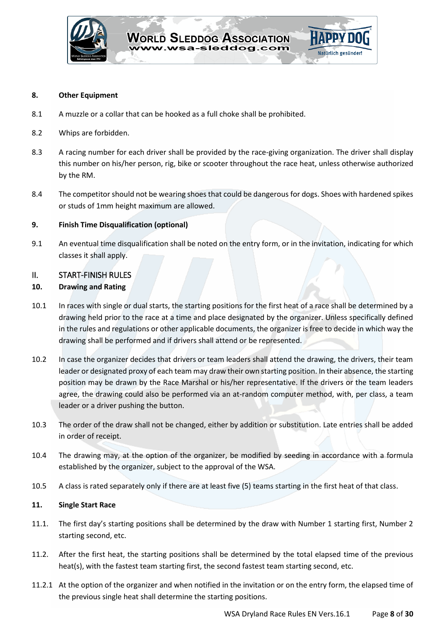

#### **8. Other Equipment**

- 8.1 A muzzle or a collar that can be hooked as a full choke shall be prohibited.
- 8.2 Whips are forbidden.
- 8.3 A racing number for each driver shall be provided by the race-giving organization. The driver shall display this number on his/her person, rig, bike or scooter throughout the race heat, unless otherwise authorized by the RM.
- 8.4 The competitor should not be wearing shoes that could be dangerous for dogs. Shoes with hardened spikes or studs of 1mm height maximum are allowed.

#### **9. Finish Time Disqualification (optional)**

9.1 An eventual time disqualification shall be noted on the entry form, or in the invitation, indicating for which classes it shall apply.

# <span id="page-7-0"></span>II. START-FINISH RULES

#### **10. Drawing and Rating**

- 10.1 In races with single or dual starts, the starting positions for the first heat of a race shall be determined by a drawing held prior to the race at a time and place designated by the organizer. Unless specifically defined in the rules and regulations or other applicable documents, the organizer is free to decide in which way the drawing shall be performed and if drivers shall attend or be represented.
- 10.2 In case the organizer decides that drivers or team leaders shall attend the drawing, the drivers, their team leader or designated proxy of each team may draw their own starting position. In their absence, the starting position may be drawn by the Race Marshal or his/her representative. If the drivers or the team leaders agree, the drawing could also be performed via an at-random computer method, with, per class, a team leader or a driver pushing the button.
- 10.3 The order of the draw shall not be changed, either by addition or substitution. Late entries shall be added in order of receipt.
- 10.4 The drawing may, at the option of the organizer, be modified by seeding in accordance with a formula established by the organizer, subject to the approval of the WSA.
- 10.5 A class is rated separately only if there are at least five (5) teams starting in the first heat of that class.

#### **11. Single Start Race**

- 11.1. The first day's starting positions shall be determined by the draw with Number 1 starting first, Number 2 starting second, etc.
- 11.2. After the first heat, the starting positions shall be determined by the total elapsed time of the previous heat(s), with the fastest team starting first, the second fastest team starting second, etc.
- 11.2.1 At the option of the organizer and when notified in the invitation or on the entry form, the elapsed time of the previous single heat shall determine the starting positions.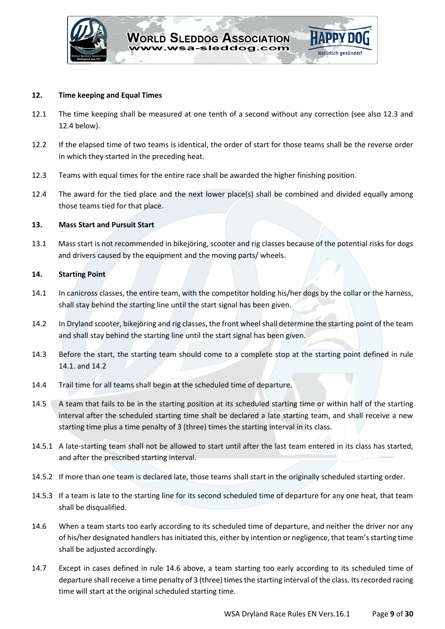

#### **12. Time keeping and Equal Times**

- 12.1 The time keeping shall be measured at one tenth of a second without any correction (see also 12.3 and 12.4 below).
- 12.2 If the elapsed time of two teams is identical, the order of start for those teams shall be the reverse order in which they started in the preceding heat.
- 12.3 Teams with equal times for the entire race shall be awarded the higher finishing position.
- 12.4 The award for the tied place and the next lower place(s) shall be combined and divided equally among those teams tied for that place.

# **13. Mass Start and Pursuit Start**

13.1 Mass start is not recommended in bikejöring, scooter and rig classes because of the potential risks for dogs and drivers caused by the equipment and the moving parts/ wheels.

#### **14. Starting Point**

- 14.1 In canicross classes, the entire team, with the competitor holding his/her dogs by the collar or the harness, shall stay behind the starting line until the start signal has been given.
- 14.2 In Dryland scooter, bikejöring and rig classes, the front wheel shall determine the starting point of the team and shall stay behind the starting line until the start signal has been given.
- 14.3 Before the start, the starting team should come to a complete stop at the starting point defined in rule 14.1. and 14.2
- 14.4 Trail time for all teams shall begin at the scheduled time of departure.
- 14.5 A team that fails to be in the starting position at its scheduled starting time or within half of the starting interval after the scheduled starting time shall be declared a late starting team, and shall receive a new starting time plus a time penalty of 3 (three) times the starting interval in its class.
- 14.5.1 A late-starting team shall not be allowed to start until after the last team entered in its class has started, and after the prescribed starting interval.
- 14.5.2 If more than one team is declared late, those teams shall start in the originally scheduled starting order.
- 14.5.3 If a team is late to the starting line for its second scheduled time of departure for any one heat, that team shall be disqualified.
- 14.6 When a team starts too early according to its scheduled time of departure, and neither the driver nor any of his/her designated handlers has initiated this, either by intention or negligence, that team's starting time shall be adjusted accordingly.
- 14.7 Except in cases defined in rule 14.6 above, a team starting too early according to its scheduled time of departure shall receive a time penalty of 3 (three) times the starting interval of the class. Its recorded racing time will start at the original scheduled starting time.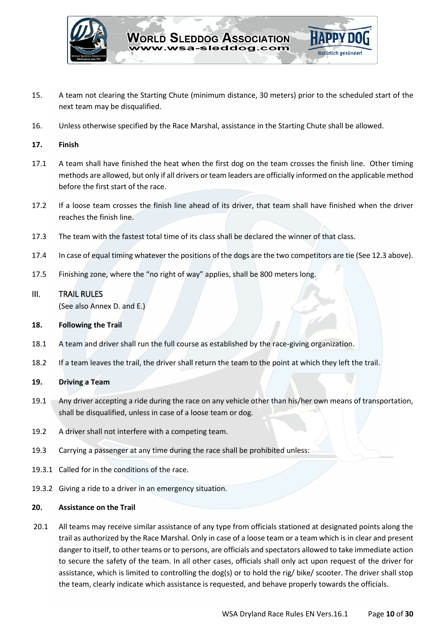

- 15. A team not clearing the Starting Chute (minimum distance, 30 meters) prior to the scheduled start of the next team may be disqualified.
- 16. Unless otherwise specified by the Race Marshal, assistance in the Starting Chute shall be allowed.

#### **17. Finish**

- 17.1 A team shall have finished the heat when the first dog on the team crosses the finish line. Other timing methods are allowed, but only if all drivers or team leaders are officially informed on the applicable method before the first start of the race.
- 17.2 If a loose team crosses the finish line ahead of its driver, that team shall have finished when the driver reaches the finish line.
- 17.3 The team with the fastest total time of its class shall be declared the winner of that class.
- 17.4 In case of equal timing whatever the positions of the dogs are the two competitors are tie (See 12.3 above).
- 17.5 Finishing zone, where the "no right of way" applies, shall be 800 meters long.

# <span id="page-9-0"></span>III. TRAIL RULES

(See also Annex D. and E.)

#### **18. Following the Trail**

- 18.1 A team and driver shall run the full course as established by the race-giving organization.
- 18.2 If a team leaves the trail, the driver shall return the team to the point at which they left the trail.

# **19. Driving a Team**

- 19.1 Any driver accepting a ride during the race on any vehicle other than his/her own means of transportation, shall be disqualified, unless in case of a loose team or dog.
- 19.2 A driver shall not interfere with a competing team.
- 19.3 Carrying a passenger at any time during the race shall be prohibited unless:
- 19.3.1 Called for in the conditions of the race.
- 19.3.2 Giving a ride to a driver in an emergency situation.

#### **20. Assistance on the Trail**

20.1 All teams may receive similar assistance of any type from officials stationed at designated points along the trail as authorized by the Race Marshal. Only in case of a loose team or a team which is in clear and present danger to itself, to other teams or to persons, are officials and spectators allowed to take immediate action to secure the safety of the team. In all other cases, officials shall only act upon request of the driver for assistance, which is limited to controlling the dog(s) or to hold the rig/ bike/ scooter. The driver shall stop the team, clearly indicate which assistance is requested, and behave properly towards the officials.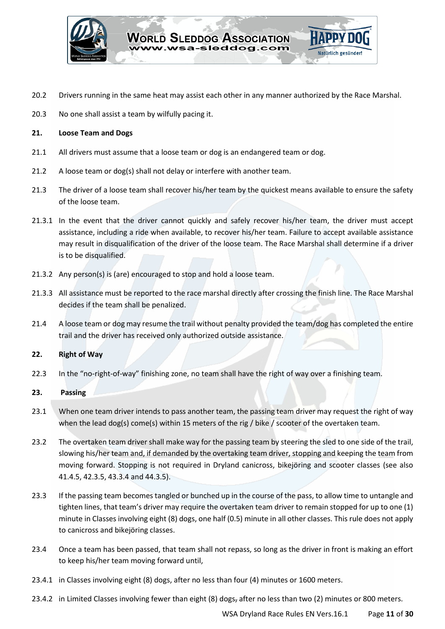

- 20.2 Drivers running in the same heat may assist each other in any manner authorized by the Race Marshal.
- 20.3 No one shall assist a team by wilfully pacing it.

#### **21. Loose Team and Dogs**

- 21.1 All drivers must assume that a loose team or dog is an endangered team or dog.
- 21.2 A loose team or dog(s) shall not delay or interfere with another team.
- 21.3 The driver of a loose team shall recover his/her team by the quickest means available to ensure the safety of the loose team.
- 21.3.1 In the event that the driver cannot quickly and safely recover his/her team, the driver must accept assistance, including a ride when available, to recover his/her team. Failure to accept available assistance may result in disqualification of the driver of the loose team. The Race Marshal shall determine if a driver is to be disqualified.
- 21.3.2 Any person(s) is (are) encouraged to stop and hold a loose team.
- 21.3.3 All assistance must be reported to the race marshal directly after crossing the finish line. The Race Marshal decides if the team shall be penalized.
- 21.4 A loose team or dog may resume the trail without penalty provided the team/dog has completed the entire trail and the driver has received only authorized outside assistance.

#### **22. Right of Way**

22.3 In the "no-right-of-way" finishing zone, no team shall have the right of way over a finishing team.

#### **23. Passing**

- 23.1 When one team driver intends to pass another team, the passing team driver may request the right of way when the lead dog(s) come(s) within 15 meters of the rig / bike / scooter of the overtaken team.
- 23.2 The overtaken team driver shall make way for the passing team by steering the sled to one side of the trail, slowing his/her team and, if demanded by the overtaking team driver, stopping and keeping the team from moving forward. Stopping is not required in Dryland canicross, bikejöring and scooter classes (see also 41.4.5, 42.3.5, 43.3.4 and 44.3.5).
- 23.3 If the passing team becomes tangled or bunched up in the course of the pass, to allow time to untangle and tighten lines, that team's driver may require the overtaken team driver to remain stopped for up to one (1) minute in Classes involving eight (8) dogs, one half (0.5) minute in all other classes. This rule does not apply to canicross and bikejöring classes.
- 23.4 Once a team has been passed, that team shall not repass, so long as the driver in front is making an effort to keep his/her team moving forward until,
- 23.4.1 in Classes involving eight (8) dogs, after no less than four (4) minutes or 1600 meters.
- 23.4.2 in Limited Classes involving fewer than eight (8) dogs, after no less than two (2) minutes or 800 meters.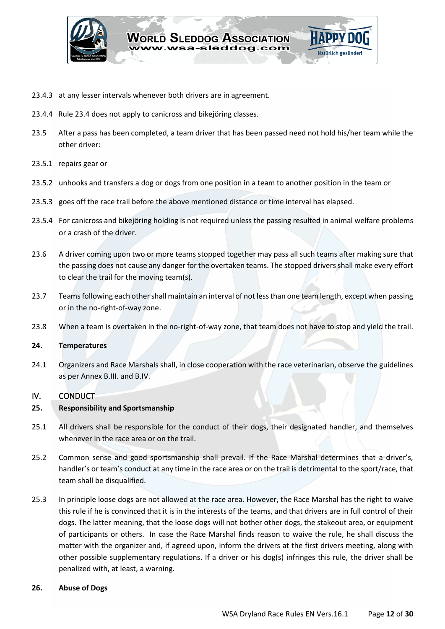

- 23.4.3 at any lesser intervals whenever both drivers are in agreement.
- 23.4.4 Rule 23.4 does not apply to canicross and bikejöring classes.
- 23.5 After a pass has been completed, a team driver that has been passed need not hold his/her team while the other driver:
- 23.5.1 repairs gear or
- 23.5.2 unhooks and transfers a dog or dogs from one position in a team to another position in the team or
- 23.5.3 goes off the race trail before the above mentioned distance or time interval has elapsed.
- 23.5.4 For canicross and bikejöring holding is not required unless the passing resulted in animal welfare problems or a crash of the driver.
- 23.6 A driver coming upon two or more teams stopped together may pass all such teams after making sure that the passing does not cause any danger for the overtaken teams. The stopped drivers shall make every effort to clear the trail for the moving team(s).
- 23.7 Teams following each other shall maintain an interval of not less than one team length, except when passing or in the no-right-of-way zone.
- 23.8 When a team is overtaken in the no-right-of-way zone, that team does not have to stop and yield the trail.

#### **24. Temperatures**

24.1 Organizers and Race Marshals shall, in close cooperation with the race veterinarian, observe the guidelines as per Annex B.III. and B.IV.

#### <span id="page-11-0"></span>IV. CONDUCT

#### **25. Responsibility and Sportsmanship**

- 25.1 All drivers shall be responsible for the conduct of their dogs, their designated handler, and themselves whenever in the race area or on the trail.
- 25.2 Common sense and good sportsmanship shall prevail. If the Race Marshal determines that a driver's, handler's or team's conduct at any time in the race area or on the trail is detrimental to the sport/race, that team shall be disqualified.
- 25.3 In principle loose dogs are not allowed at the race area. However, the Race Marshal has the right to waive this rule if he is convinced that it is in the interests of the teams, and that drivers are in full control of their dogs. The latter meaning, that the loose dogs will not bother other dogs, the stakeout area, or equipment of participants or others. In case the Race Marshal finds reason to waive the rule, he shall discuss the matter with the organizer and, if agreed upon, inform the drivers at the first drivers meeting, along with other possible supplementary regulations. If a driver or his dog(s) infringes this rule, the driver shall be penalized with, at least, a warning.
- **26. Abuse of Dogs**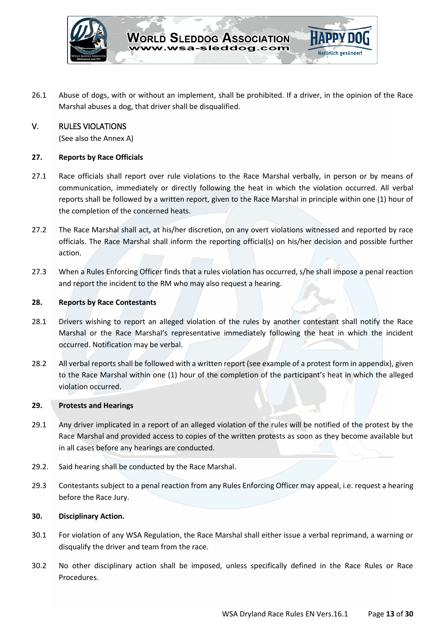

26.1 Abuse of dogs, with or without an implement, shall be prohibited. If a driver, in the opinion of the Race Marshal abuses a dog, that driver shall be disqualified.

# <span id="page-12-0"></span>V. RULES VIOLATIONS

(See also the Annex A)

#### **27. Reports by Race Officials**

- 27.1 Race officials shall report over rule violations to the Race Marshal verbally, in person or by means of communication, immediately or directly following the heat in which the violation occurred. All verbal reports shall be followed by a written report, given to the Race Marshal in principle within one (1) hour of the completion of the concerned heats.
- 27.2 The Race Marshal shall act, at his/her discretion, on any overt violations witnessed and reported by race officials. The Race Marshal shall inform the reporting official(s) on his/her decision and possible further action.
- 27.3 When a Rules Enforcing Officer finds that a rules violation has occurred, s/he shall impose a penal reaction and report the incident to the RM who may also request a hearing.

#### **28. Reports by Race Contestants**

- 28.1 Drivers wishing to report an alleged violation of the rules by another contestant shall notify the Race Marshal or the Race Marshal's representative immediately following the heat in which the incident occurred. Notification may be verbal.
- 28.2 All verbal reports shall be followed with a written report (see example of a protest form in appendix), given to the Race Marshal within one (1) hour of the completion of the participant's heat in which the alleged violation occurred.

#### **29. Protests and Hearings**

- 29.1 Any driver implicated in a report of an alleged violation of the rules will be notified of the protest by the Race Marshal and provided access to copies of the written protests as soon as they become available but in all cases before any hearings are conducted.
- 29.2. Said hearing shall be conducted by the Race Marshal.
- 29.3 Contestants subject to a penal reaction from any Rules Enforcing Officer may appeal, i.e. request a hearing before the Race Jury.

#### **30. Disciplinary Action.**

- 30.1 For violation of any WSA Regulation, the Race Marshal shall either issue a verbal reprimand, a warning or disqualify the driver and team from the race.
- 30.2 No other disciplinary action shall be imposed, unless specifically defined in the Race Rules or Race Procedures.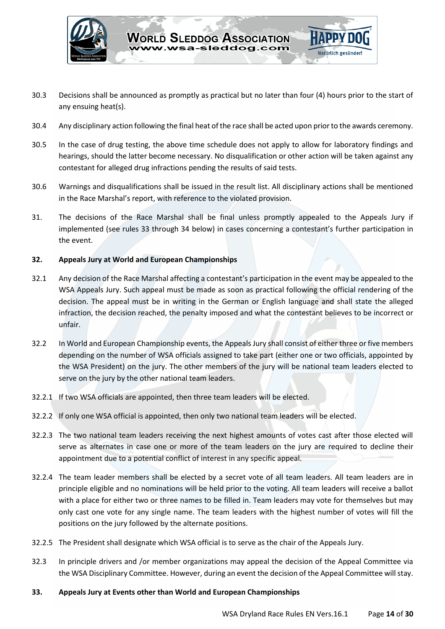

- 30.3 Decisions shall be announced as promptly as practical but no later than four (4) hours prior to the start of any ensuing heat(s).
- 30.4 Any disciplinary action following the final heat of the race shall be acted upon prior to the awards ceremony.
- 30.5 In the case of drug testing, the above time schedule does not apply to allow for laboratory findings and hearings, should the latter become necessary. No disqualification or other action will be taken against any contestant for alleged drug infractions pending the results of said tests.
- 30.6 Warnings and disqualifications shall be issued in the result list. All disciplinary actions shall be mentioned in the Race Marshal's report, with reference to the violated provision.
- 31. The decisions of the Race Marshal shall be final unless promptly appealed to the Appeals Jury if implemented (see rules 33 through 34 below) in cases concerning a contestant's further participation in the event.

#### **32. Appeals Jury at World and European Championships**

- 32.1 Any decision of the Race Marshal affecting a contestant's participation in the event may be appealed to the WSA Appeals Jury. Such appeal must be made as soon as practical following the official rendering of the decision. The appeal must be in writing in the German or English language and shall state the alleged infraction, the decision reached, the penalty imposed and what the contestant believes to be incorrect or unfair.
- 32.2 In World and European Championship events, the Appeals Jury shall consist of either three or five members depending on the number of WSA officials assigned to take part (either one or two officials, appointed by the WSA President) on the jury. The other members of the jury will be national team leaders elected to serve on the jury by the other national team leaders.
- 32.2.1 If two WSA officials are appointed, then three team leaders will be elected.
- 32.2.2 If only one WSA official is appointed, then only two national team leaders will be elected.
- 32.2.3 The two national team leaders receiving the next highest amounts of votes cast after those elected will serve as alternates in case one or more of the team leaders on the jury are required to decline their appointment due to a potential conflict of interest in any specific appeal.
- 32.2.4 The team leader members shall be elected by a secret vote of all team leaders. All team leaders are in principle eligible and no nominations will be held prior to the voting. All team leaders will receive a ballot with a place for either two or three names to be filled in. Team leaders may vote for themselves but may only cast one vote for any single name. The team leaders with the highest number of votes will fill the positions on the jury followed by the alternate positions.
- 32.2.5 The President shall designate which WSA official is to serve as the chair of the Appeals Jury.
- 32.3 In principle drivers and /or member organizations may appeal the decision of the Appeal Committee via the WSA Disciplinary Committee. However, during an event the decision of the Appeal Committee will stay.
- **33. Appeals Jury at Events other than World and European Championships**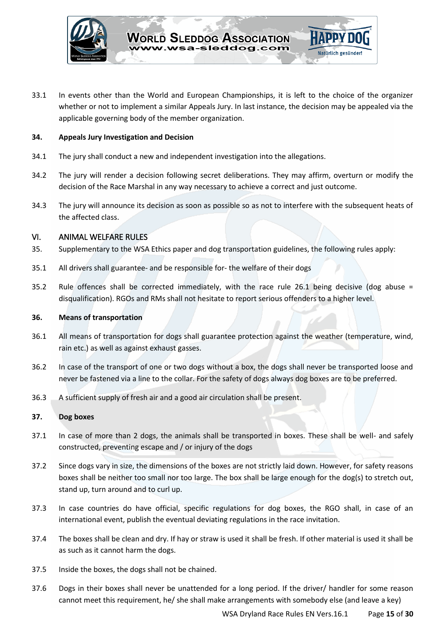

33.1 In events other than the World and European Championships, it is left to the choice of the organizer whether or not to implement a similar Appeals Jury. In last instance, the decision may be appealed via the applicable governing body of the member organization.

#### **34. Appeals Jury Investigation and Decision**

- 34.1 The jury shall conduct a new and independent investigation into the allegations.
- 34.2 The jury will render a decision following secret deliberations. They may affirm, overturn or modify the decision of the Race Marshal in any way necessary to achieve a correct and just outcome.
- 34.3 The jury will announce its decision as soon as possible so as not to interfere with the subsequent heats of the affected class.

# <span id="page-14-0"></span>VI. ANIMAL WELFARE RULES

- 35. Supplementary to the WSA Ethics paper and dog transportation guidelines, the following rules apply:
- 35.1 All drivers shall guarantee- and be responsible for- the welfare of their dogs
- 35.2 Rule offences shall be corrected immediately, with the race rule 26.1 being decisive (dog abuse = disqualification). RGOs and RMs shall not hesitate to report serious offenders to a higher level.

#### **36. Means of transportation**

- 36.1 All means of transportation for dogs shall guarantee protection against the weather (temperature, wind, rain etc.) as well as against exhaust gasses.
- 36.2 In case of the transport of one or two dogs without a box, the dogs shall never be transported loose and never be fastened via a line to the collar. For the safety of dogs always dog boxes are to be preferred.
- 36.3 A sufficient supply of fresh air and a good air circulation shall be present.

#### **37. Dog boxes**

- 37.1 In case of more than 2 dogs, the animals shall be transported in boxes. These shall be well- and safely constructed, preventing escape and / or injury of the dogs
- 37.2 Since dogs vary in size, the dimensions of the boxes are not strictly laid down. However, for safety reasons boxes shall be neither too small nor too large. The box shall be large enough for the dog(s) to stretch out, stand up, turn around and to curl up.
- 37.3 In case countries do have official, specific regulations for dog boxes, the RGO shall, in case of an international event, publish the eventual deviating regulations in the race invitation.
- 37.4 The boxes shall be clean and dry. If hay or straw is used it shall be fresh. If other material is used it shall be as such as it cannot harm the dogs.
- 37.5 Inside the boxes, the dogs shall not be chained.
- 37.6 Dogs in their boxes shall never be unattended for a long period. If the driver/ handler for some reason cannot meet this requirement, he/ she shall make arrangements with somebody else (and leave a key)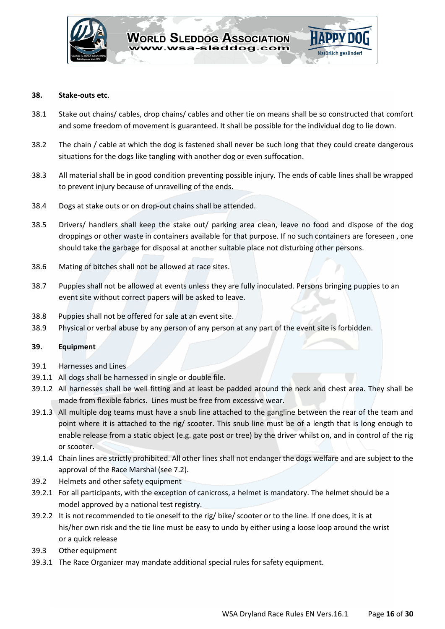

#### **38. Stake-outs etc**.

- 38.1 Stake out chains/ cables, drop chains/ cables and other tie on means shall be so constructed that comfort and some freedom of movement is guaranteed. It shall be possible for the individual dog to lie down.
- 38.2 The chain / cable at which the dog is fastened shall never be such long that they could create dangerous situations for the dogs like tangling with another dog or even suffocation.
- 38.3 All material shall be in good condition preventing possible injury. The ends of cable lines shall be wrapped to prevent injury because of unravelling of the ends.
- 38.4 Dogs at stake outs or on drop-out chains shall be attended.
- 38.5 Drivers/ handlers shall keep the stake out/ parking area clean, leave no food and dispose of the dog droppings or other waste in containers available for that purpose. If no such containers are foreseen , one should take the garbage for disposal at another suitable place not disturbing other persons.
- 38.6 Mating of bitches shall not be allowed at race sites.
- 38.7 Puppies shall not be allowed at events unless they are fully inoculated. Persons bringing puppies to an event site without correct papers will be asked to leave.
- 38.8 Puppies shall not be offered for sale at an event site.
- 38.9 Physical or verbal abuse by any person of any person at any part of the event site is forbidden.

#### **39. Equipment**

- 39.1 Harnesses and Lines
- 39.1.1 All dogs shall be harnessed in single or double file.
- 39.1.2 All harnesses shall be well fitting and at least be padded around the neck and chest area. They shall be made from flexible fabrics. Lines must be free from excessive wear.
- 39.1.3 All multiple dog teams must have a snub line attached to the gangline between the rear of the team and point where it is attached to the rig/ scooter. This snub line must be of a length that is long enough to enable release from a static object (e.g. gate post or tree) by the driver whilst on, and in control of the rig or scooter.
- 39.1.4 Chain lines are strictly prohibited. All other lines shall not endanger the dogs welfare and are subject to the approval of the Race Marshal (see 7.2).
- 39.2 Helmets and other safety equipment
- 39.2.1 For all participants, with the exception of canicross, a helmet is mandatory. The helmet should be a model approved by a national test registry.
- 39.2.2 It is not recommended to tie oneself to the rig/ bike/ scooter or to the line. If one does, it is at his/her own risk and the tie line must be easy to undo by either using a loose loop around the wrist or a quick release
- 39.3 Other equipment
- 39.3.1 The Race Organizer may mandate additional special rules for safety equipment.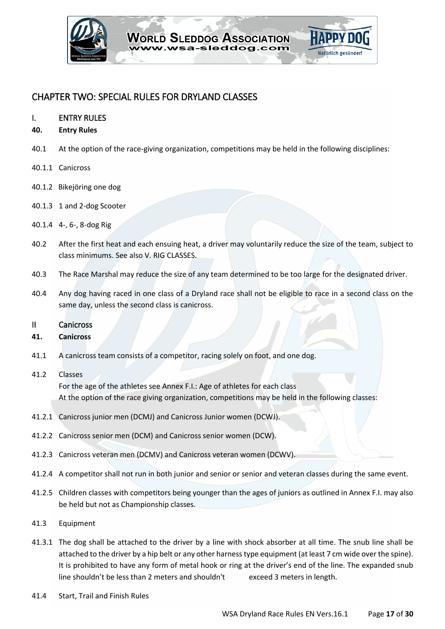

# <span id="page-16-0"></span>CHAPTER TWO: SPECIAL RULES FOR DRYLAND CLASSES

#### <span id="page-16-1"></span>I. ENTRY RULES

- **40. Entry Rules**
- 40.1 At the option of the race-giving organization, competitions may be held in the following disciplines:
- 40.1.1 Canicross
- 40.1.2 Bikejöring one dog
- 40.1.3 1 and 2-dog Scooter
- 40.1.4 4-, 6-, 8-dog Rig
- 40.2 After the first heat and each ensuing heat, a driver may voluntarily reduce the size of the team, subject to class minimums. See also V. RIG CLASSES.
- 40.3 The Race Marshal may reduce the size of any team determined to be too large for the designated driver.
- 40.4 Any dog having raced in one class of a Dryland race shall not be eligible to race in a second class on the same day, unless the second class is canicross.

#### <span id="page-16-2"></span>II Canicross

#### **41. Canicross**

41.1 A canicross team consists of a competitor, racing solely on foot, and one dog.

# 41.2 Classes

For the age of the athletes see Annex F.I.: Age of athletes for each class At the option of the race giving organization, competitions may be held in the following classes:

- 41.2.1 Canicross junior men (DCMJ) and Canicross Junior women (DCWJ).
- 41.2.2 Canicross senior men (DCM) and Canicross senior women (DCW).
- 41.2.3 Canicross veteran men (DCMV) and Canicross veteran women (DCWV).
- 41.2.4 A competitor shall not run in both junior and senior or senior and veteran classes during the same event.
- 41.2.5 Children classes with competitors being younger than the ages of juniors as outlined in Annex F.I. may also be held but not as Championship classes.
- 41.3 Equipment
- 41.3.1 The dog shall be attached to the driver by a line with shock absorber at all time. The snub line shall be attached to the driver by a hip belt or any other harness type equipment (at least 7 cm wide over the spine). It is prohibited to have any form of metal hook or ring at the driver's end of the line. The expanded snub line shouldn't be less than 2 meters and shouldn't exceed 3 meters in length.
- 41.4 Start, Trail and Finish Rules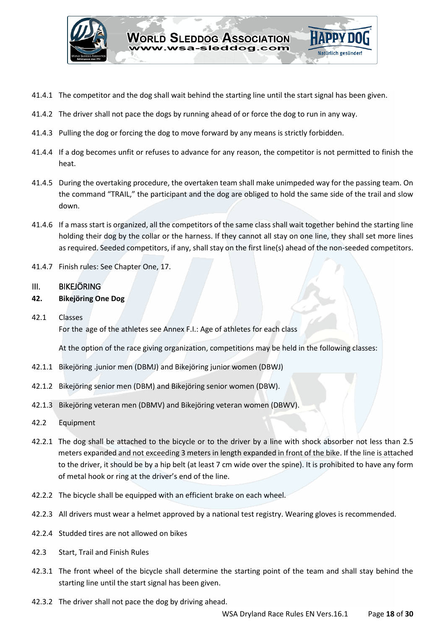

- 41.4.1 The competitor and the dog shall wait behind the starting line until the start signal has been given.
- 41.4.2 The driver shall not pace the dogs by running ahead of or force the dog to run in any way.
- 41.4.3 Pulling the dog or forcing the dog to move forward by any means is strictly forbidden.
- 41.4.4 If a dog becomes unfit or refuses to advance for any reason, the competitor is not permitted to finish the heat.
- 41.4.5 During the overtaking procedure, the overtaken team shall make unimpeded way for the passing team. On the command "TRAIL," the participant and the dog are obliged to hold the same side of the trail and slow down.
- 41.4.6 If a mass start is organized, all the competitors of the same class shall wait together behind the starting line holding their dog by the collar or the harness. If they cannot all stay on one line, they shall set more lines as required. Seeded competitors, if any, shall stay on the first line(s) ahead of the non-seeded competitors.
- 41.4.7 Finish rules: See Chapter One, 17.

#### <span id="page-17-0"></span>III. BIKEJÖRING

### **42. Bikejöring One Dog**

42.1 Classes

For the age of the athletes see Annex F.I.: Age of athletes for each class

At the option of the race giving organization, competitions may be held in the following classes:

- 42.1.1 Bikejöring .junior men (DBMJ) and Bikejöring junior women (DBWJ)
- 42.1.2 Bikejöring senior men (DBM) and Bikejöring senior women (DBW).
- 42.1.3 Bikejöring veteran men (DBMV) and Bikejöring veteran women (DBWV).
- 42.2 Equipment
- 42.2.1 The dog shall be attached to the bicycle or to the driver by a line with shock absorber not less than 2.5 meters expanded and not exceeding 3 meters in length expanded in front of the bike. If the line is attached to the driver, it should be by a hip belt (at least 7 cm wide over the spine). It is prohibited to have any form of metal hook or ring at the driver's end of the line.
- 42.2.2 The bicycle shall be equipped with an efficient brake on each wheel.
- 42.2.3 All drivers must wear a helmet approved by a national test registry. Wearing gloves is recommended.
- 42.2.4 Studded tires are not allowed on bikes
- 42.3 Start, Trail and Finish Rules
- 42.3.1 The front wheel of the bicycle shall determine the starting point of the team and shall stay behind the starting line until the start signal has been given.
- 42.3.2 The driver shall not pace the dog by driving ahead.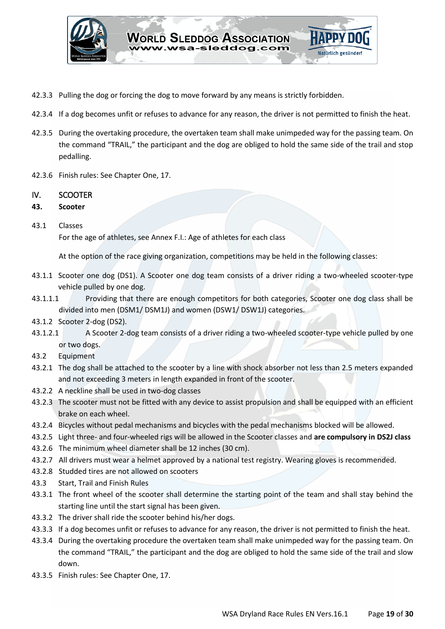

- 42.3.3 Pulling the dog or forcing the dog to move forward by any means is strictly forbidden.
- 42.3.4 If a dog becomes unfit or refuses to advance for any reason, the driver is not permitted to finish the heat.
- 42.3.5 During the overtaking procedure, the overtaken team shall make unimpeded way for the passing team. On the command "TRAIL," the participant and the dog are obliged to hold the same side of the trail and stop pedalling.
- 42.3.6 Finish rules: See Chapter One, 17.

# <span id="page-18-0"></span>IV. SCOOTER

- **43. Scooter**
- 43.1 Classes

For the age of athletes, see Annex F.I.: Age of athletes for each class

At the option of the race giving organization, competitions may be held in the following classes:

- 43.1.1 Scooter one dog (DS1). A Scooter one dog team consists of a driver riding a two-wheeled scooter-type vehicle pulled by one dog.
- 43.1.1.1 Providing that there are enough competitors for both categories, Scooter one dog class shall be divided into men (DSM1/ DSM1J) and women (DSW1/ DSW1J) categories.
- 43.1.2 Scooter 2-dog (DS2).
- 43.1.2.1 A Scooter 2-dog team consists of a driver riding a two-wheeled scooter-type vehicle pulled by one or two dogs.
- 43.2 Equipment
- 43.2.1 The dog shall be attached to the scooter by a line with shock absorber not less than 2.5 meters expanded and not exceeding 3 meters in length expanded in front of the scooter.
- 43.2.2 A neckline shall be used in two-dog classes
- 43.2.3 The scooter must not be fitted with any device to assist propulsion and shall be equipped with an efficient brake on each wheel.
- 43.2.4 Bicycles without pedal mechanisms and bicycles with the pedal mechanisms blocked will be allowed.
- 43.2.5 Light three- and four-wheeled rigs will be allowed in the Scooter classes and **are compulsory in DS2J class**
- 43.2.6 The minimum wheel diameter shall be 12 inches (30 cm).
- 43.2.7 All drivers must wear a helmet approved by a national test registry. Wearing gloves is recommended.
- 43.2.8 Studded tires are not allowed on scooters
- 43.3 Start, Trail and Finish Rules
- 43.3.1 The front wheel of the scooter shall determine the starting point of the team and shall stay behind the starting line until the start signal has been given.
- 43.3.2 The driver shall ride the scooter behind his/her dogs.
- 43.3.3 If a dog becomes unfit or refuses to advance for any reason, the driver is not permitted to finish the heat.
- 43.3.4 During the overtaking procedure the overtaken team shall make unimpeded way for the passing team. On the command "TRAIL," the participant and the dog are obliged to hold the same side of the trail and slow down.
- 43.3.5 Finish rules: See Chapter One, 17.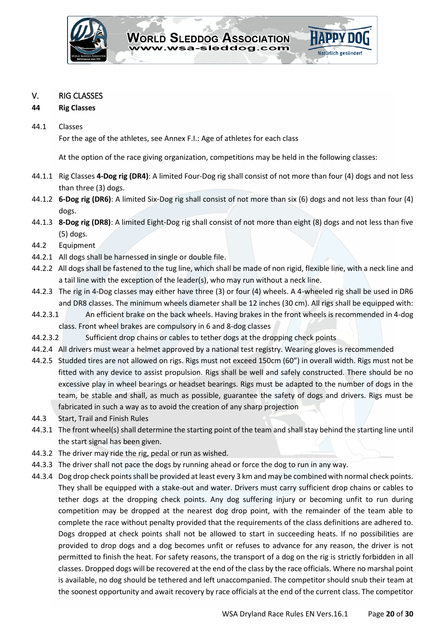

# <span id="page-19-0"></span>V. RIG CLASSES

# **44 Rig Classes**

## 44.1 Classes

For the age of the athletes, see Annex F.I.: Age of athletes for each class

At the option of the race giving organization, competitions may be held in the following classes:

- 44.1.1 Rig Classes **4-Dog rig (DR4)**: A limited Four-Dog rig shall consist of not more than four (4) dogs and not less than three (3) dogs.
- 44.1.2 **6-Dog rig (DR6)**: A limited Six-Dog rig shall consist of not more than six (6) dogs and not less than four (4) dogs.
- 44.1.3 **8-Dog rig (DR8)**: A limited Eight-Dog rig shall consist of not more than eight (8) dogs and not less than five (5) dogs.
- 44.2 Equipment
- 44.2.1 All dogs shall be harnessed in single or double file.
- 44.2.2 All dogs shall be fastened to the tug line, which shall be made of non rigid, flexible line, with a neck line and a tail line with the exception of the leader(s), who may run without a neck line.
- 44.2.3 The rig in 4-Dog classes may either have three (3) or four (4) wheels. A 4-wheeled rig shall be used in DR6 and DR8 classes. The minimum wheels diameter shall be 12 inches (30 cm). All rigs shall be equipped with:
- 44.2.3.1 An efficient brake on the back wheels. Having brakes in the front wheels is recommended in 4-dog class. Front wheel brakes are compulsory in 6 and 8-dog classes
- 44.2.3.2 Sufficient drop chains or cables to tether dogs at the dropping check points
- 44.2.4 All drivers must wear a helmet approved by a national test registry. Wearing gloves is recommended
- 44.2.5 Studded tires are not allowed on rigs. Rigs must not exceed 150cm (60") in overall width. Rigs must not be fitted with any device to assist propulsion. Rigs shall be well and safely constructed. There should be no excessive play in wheel bearings or headset bearings. Rigs must be adapted to the number of dogs in the team, be stable and shall, as much as possible, guarantee the safety of dogs and drivers. Rigs must be fabricated in such a way as to avoid the creation of any sharp projection
- 44.3 Start, Trail and Finish Rules
- 44.3.1 The front wheel(s) shall determine the starting point of the team and shall stay behind the starting line until the start signal has been given.
- 44.3.2 The driver may ride the rig, pedal or run as wished.
- 44.3.3 The driver shall not pace the dogs by running ahead or force the dog to run in any way.
- 44.3.4 Dog drop check points shall be provided at least every 3 km and may be combined with normal check points. They shall be equipped with a stake-out and water. Drivers must carry sufficient drop chains or cables to tether dogs at the dropping check points. Any dog suffering injury or becoming unfit to run during competition may be dropped at the nearest dog drop point, with the remainder of the team able to complete the race without penalty provided that the requirements of the class definitions are adhered to. Dogs dropped at check points shall not be allowed to start in succeeding heats. If no possibilities are provided to drop dogs and a dog becomes unfit or refuses to advance for any reason, the driver is not permitted to finish the heat. For safety reasons, the transport of a dog on the rig is strictly forbidden in all classes. Dropped dogs will be recovered at the end of the class by the race officials. Where no marshal point is available, no dog should be tethered and left unaccompanied. The competitor should snub their team at the soonest opportunity and await recovery by race officials at the end of the current class. The competitor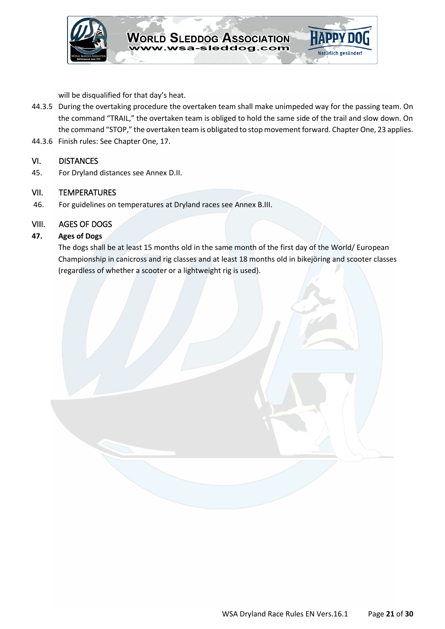

will be disqualified for that day's heat.

- 44.3.5 During the overtaking procedure the overtaken team shall make unimpeded way for the passing team. On the command "TRAIL," the overtaken team is obliged to hold the same side of the trail and slow down. On the command "STOP," the overtaken team is obligated to stop movement forward. Chapter One, 23 applies.
- 44.3.6 Finish rules: See Chapter One, 17.

# <span id="page-20-0"></span>VI. DISTANCES

45. For Dryland distances see Annex D.II.

# <span id="page-20-1"></span>VII. TEMPERATURES

46. For guidelines on temperatures at Dryland races see Annex B.III.

# <span id="page-20-2"></span>VIII. AGES OF DOGS

# **47. Ages of Dogs**

The dogs shall be at least 15 months old in the same month of the first day of the World/ European Championship in canicross and rig classes and at least 18 months old in bikejöring and scooter classes (regardless of whether a scooter or a lightweight rig is used).

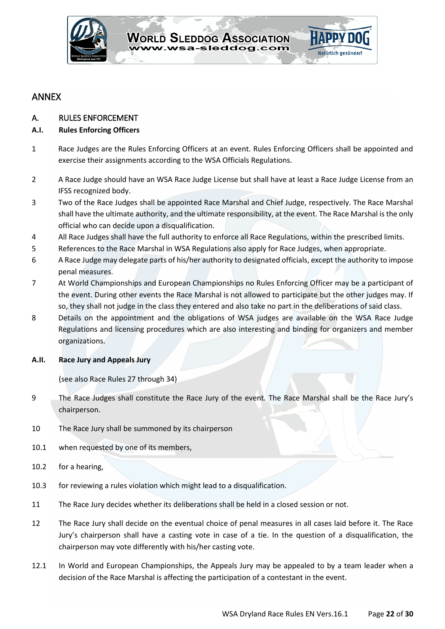

# <span id="page-21-0"></span>ANNEX

# <span id="page-21-1"></span>A. RULES ENFORCEMENT

# **A.I. Rules Enforcing Officers**

- 1 Race Judges are the Rules Enforcing Officers at an event. Rules Enforcing Officers shall be appointed and exercise their assignments according to the WSA Officials Regulations.
- 2 A Race Judge should have an WSA Race Judge License but shall have at least a Race Judge License from an IFSS recognized body.
- 3 Two of the Race Judges shall be appointed Race Marshal and Chief Judge, respectively. The Race Marshal shall have the ultimate authority, and the ultimate responsibility, at the event. The Race Marshal is the only official who can decide upon a disqualification.
- 4 All Race Judges shall have the full authority to enforce all Race Regulations, within the prescribed limits.
- 5 References to the Race Marshal in WSA Regulations also apply for Race Judges, when appropriate.
- 6 A Race Judge may delegate parts of his/her authority to designated officials, except the authority to impose penal measures.
- 7 At World Championships and European Championships no Rules Enforcing Officer may be a participant of the event. During other events the Race Marshal is not allowed to participate but the other judges may. If so, they shall not judge in the class they entered and also take no part in the deliberations of said class.
- 8 Details on the appointment and the obligations of WSA judges are available on the WSA Race Judge Regulations and licensing procedures which are also interesting and binding for organizers and member organizations.

#### **A.II. Race Jury and Appeals Jury**

(see also Race Rules 27 through 34)

- 9 The Race Judges shall constitute the Race Jury of the event. The Race Marshal shall be the Race Jury's chairperson.
- 10 The Race Jury shall be summoned by its chairperson
- 10.1 when requested by one of its members,
- 10.2 for a hearing,
- 10.3 for reviewing a rules violation which might lead to a disqualification.
- 11 The Race Jury decides whether its deliberations shall be held in a closed session or not.
- 12 The Race Jury shall decide on the eventual choice of penal measures in all cases laid before it. The Race Jury's chairperson shall have a casting vote in case of a tie. In the question of a disqualification, the chairperson may vote differently with his/her casting vote.
- 12.1 In World and European Championships, the Appeals Jury may be appealed to by a team leader when a decision of the Race Marshal is affecting the participation of a contestant in the event.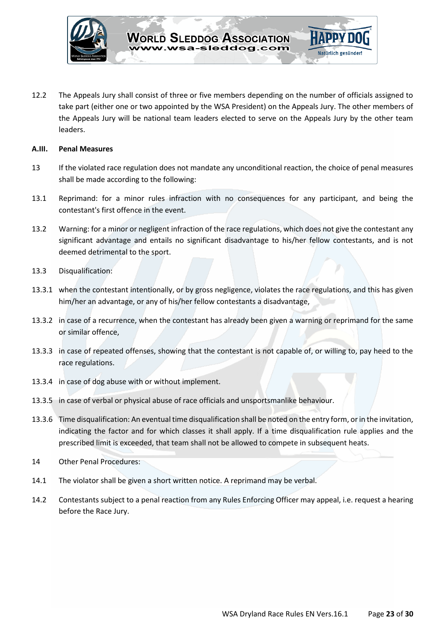

12.2 The Appeals Jury shall consist of three or five members depending on the number of officials assigned to take part (either one or two appointed by the WSA President) on the Appeals Jury. The other members of the Appeals Jury will be national team leaders elected to serve on the Appeals Jury by the other team leaders.

#### **A.III. Penal Measures**

- 13 If the violated race regulation does not mandate any unconditional reaction, the choice of penal measures shall be made according to the following:
- 13.1 Reprimand: for a minor rules infraction with no consequences for any participant, and being the contestant's first offence in the event.
- 13.2 Warning: for a minor or negligent infraction of the race regulations, which does not give the contestant any significant advantage and entails no significant disadvantage to his/her fellow contestants, and is not deemed detrimental to the sport.
- 13.3 Disqualification:
- 13.3.1 when the contestant intentionally, or by gross negligence, violates the race regulations, and this has given him/her an advantage, or any of his/her fellow contestants a disadvantage,
- 13.3.2 in case of a recurrence, when the contestant has already been given a warning or reprimand for the same or similar offence,
- 13.3.3 in case of repeated offenses, showing that the contestant is not capable of, or willing to, pay heed to the race regulations.
- 13.3.4 in case of dog abuse with or without implement.
- 13.3.5 in case of verbal or physical abuse of race officials and unsportsmanlike behaviour.
- 13.3.6 Time disqualification: An eventual time disqualification shall be noted on the entry form, or in the invitation, indicating the factor and for which classes it shall apply. If a time disqualification rule applies and the prescribed limit is exceeded, that team shall not be allowed to compete in subsequent heats.
- 14 Other Penal Procedures:
- 14.1 The violator shall be given a short written notice. A reprimand may be verbal.
- <span id="page-22-0"></span>14.2 Contestants subject to a penal reaction from any Rules Enforcing Officer may appeal, i.e. request a hearing before the Race Jury.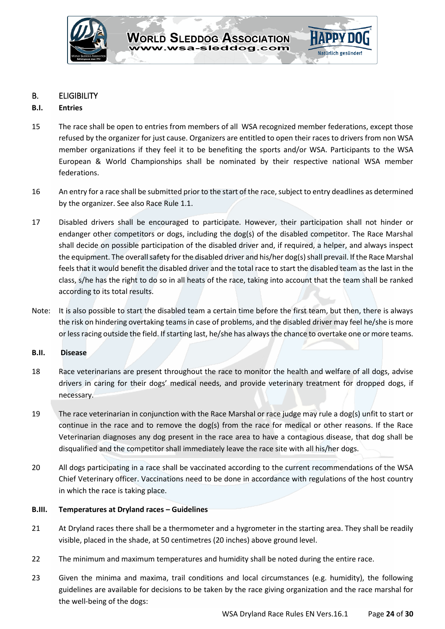

# B. ELIGIBILITY

# **B.I. Entries**

- 15 The race shall be open to entries from members of all WSA recognized member federations, except those refused by the organizer for just cause. Organizers are entitled to open their races to drivers from non WSA member organizations if they feel it to be benefiting the sports and/or WSA. Participants to the WSA European & World Championships shall be nominated by their respective national WSA member federations.
- 16 An entry for a race shall be submitted prior to the start of the race, subject to entry deadlines as determined by the organizer. See also Race Rule 1.1.
- 17 Disabled drivers shall be encouraged to participate. However, their participation shall not hinder or endanger other competitors or dogs, including the dog(s) of the disabled competitor. The Race Marshal shall decide on possible participation of the disabled driver and, if required, a helper, and always inspect the equipment. The overall safety for the disabled driver and his/her dog(s) shall prevail. If the Race Marshal feels that it would benefit the disabled driver and the total race to start the disabled team as the last in the class, s/he has the right to do so in all heats of the race, taking into account that the team shall be ranked according to its total results.
- Note: It is also possible to start the disabled team a certain time before the first team, but then, there is always the risk on hindering overtaking teams in case of problems, and the disabled driver may feel he/she is more or less racing outside the field. If starting last, he/she has always the chance to overtake one or more teams.

# **B.II. Disease**

- 18 Race veterinarians are present throughout the race to monitor the health and welfare of all dogs, advise drivers in caring for their dogs' medical needs, and provide veterinary treatment for dropped dogs, if necessary.
- 19 The race veterinarian in conjunction with the Race Marshal or race judge may rule a dog(s) unfit to start or continue in the race and to remove the dog(s) from the race for medical or other reasons. If the Race Veterinarian diagnoses any dog present in the race area to have a contagious disease, that dog shall be disqualified and the competitor shall immediately leave the race site with all his/her dogs.
- 20 All dogs participating in a race shall be vaccinated according to the current recommendations of the WSA Chief Veterinary officer. Vaccinations need to be done in accordance with regulations of the host country in which the race is taking place.

# **B.III. Temperatures at Dryland races – Guidelines**

- 21 At Dryland races there shall be a thermometer and a hygrometer in the starting area. They shall be readily visible, placed in the shade, at 50 centimetres (20 inches) above ground level.
- 22 The minimum and maximum temperatures and humidity shall be noted during the entire race.
- 23 Given the minima and maxima, trail conditions and local circumstances (e.g. humidity), the following guidelines are available for decisions to be taken by the race giving organization and the race marshal for the well-being of the dogs: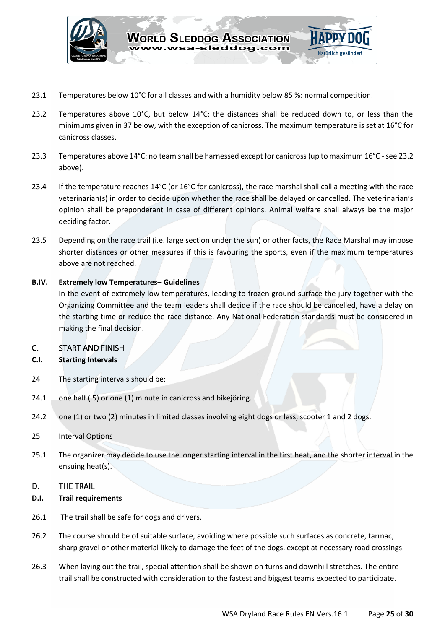

- 23.1 Temperatures below 10°C for all classes and with a humidity below 85 %: normal competition.
- 23.2 Temperatures above 10°C, but below  $14^{\circ}$ C: the distances shall be reduced down to, or less than the minimums given in 37 below, with the exception of canicross. The maximum temperature is set at 16°C for canicross classes.
- 23.3 Temperatures above 14°C: no team shall be harnessed except for canicross (up to maximum 16°C see 23.2 above).
- 23.4 If the temperature reaches 14°C (or 16°C for canicross), the race marshal shall call a meeting with the race veterinarian(s) in order to decide upon whether the race shall be delayed or cancelled. The veterinarian's opinion shall be preponderant in case of different opinions. Animal welfare shall always be the major deciding factor.
- 23.5 Depending on the race trail (i.e. large section under the sun) or other facts, the Race Marshal may impose shorter distances or other measures if this is favouring the sports, even if the maximum temperatures above are not reached.

#### **B.IV. Extremely low Temperatures– Guidelines**

In the event of extremely low temperatures, leading to frozen ground surface the jury together with the Organizing Committee and the team leaders shall decide if the race should be cancelled, have a delay on the starting time or reduce the race distance. Any National Federation standards must be considered in making the final decision.

# <span id="page-24-0"></span>C. START AND FINISH

# **C.I. Starting Intervals**

- 24 The starting intervals should be:
- 24.1 one half (.5) or one (1) minute in canicross and bikejöring.
- 24.2 one (1) or two (2) minutes in limited classes involving eight dogs or less, scooter 1 and 2 dogs.
- 25 Interval Options
- 25.1 The organizer may decide to use the longer starting interval in the first heat, and the shorter interval in the ensuing heat(s).

# <span id="page-24-1"></span>D. THE TRAIL

#### **D.I. Trail requirements**

- 26.1 The trail shall be safe for dogs and drivers.
- 26.2 The course should be of suitable surface, avoiding where possible such surfaces as concrete, tarmac, sharp gravel or other material likely to damage the feet of the dogs, except at necessary road crossings.
- 26.3 When laying out the trail, special attention shall be shown on turns and downhill stretches. The entire trail shall be constructed with consideration to the fastest and biggest teams expected to participate.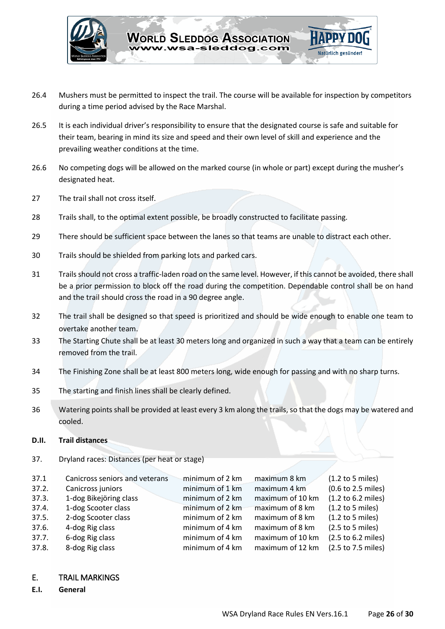

- 26.4 Mushers must be permitted to inspect the trail. The course will be available for inspection by competitors during a time period advised by the Race Marshal.
- 26.5 It is each individual driver's responsibility to ensure that the designated course is safe and suitable for their team, bearing in mind its size and speed and their own level of skill and experience and the prevailing weather conditions at the time.
- 26.6 No competing dogs will be allowed on the marked course (in whole or part) except during the musher's designated heat.
- 27 The trail shall not cross itself.
- 28 Trails shall, to the optimal extent possible, be broadly constructed to facilitate passing.
- 29 There should be sufficient space between the lanes so that teams are unable to distract each other.
- 30 Trails should be shielded from parking lots and parked cars.
- 31 Trails should not cross a traffic-laden road on the same level. However, if this cannot be avoided, there shall be a prior permission to block off the road during the competition. Dependable control shall be on hand and the trail should cross the road in a 90 degree angle.
- 32 The trail shall be designed so that speed is prioritized and should be wide enough to enable one team to overtake another team.
- 33 The Starting Chute shall be at least 30 meters long and organized in such a way that a team can be entirely removed from the trail.
- 34 The Finishing Zone shall be at least 800 meters long, wide enough for passing and with no sharp turns.
- 35 The starting and finish lines shall be clearly defined.
- 36 Watering points shall be provided at least every 3 km along the trails, so that the dogs may be watered and cooled.

#### **D.II. Trail distances**

37. Dryland races: Distances (per heat or stage)

| 37.1  | Canicross seniors and veterans | minimum of 2 km | maximum 8 km     | $(1.2$ to 5 miles) |
|-------|--------------------------------|-----------------|------------------|--------------------|
| 37.2. | Canicross juniors              | minimum of 1 km | maximum 4 km     | (0.6 to 2.5 miles) |
| 37.3. | 1-dog Bikejöring class         | minimum of 2 km | maximum of 10 km | (1.2 to 6.2 miles) |
| 37.4. | 1-dog Scooter class            | minimum of 2 km | maximum of 8 km  | $(1.2$ to 5 miles) |
| 37.5. | 2-dog Scooter class            | minimum of 2 km | maximum of 8 km  | $(1.2$ to 5 miles) |
| 37.6. | 4-dog Rig class                | minimum of 4 km | maximum of 8 km  | $(2.5$ to 5 miles) |
| 37.7. | 6-dog Rig class                | minimum of 4 km | maximum of 10 km | (2.5 to 6.2 miles) |
| 37.8. | 8-dog Rig class                | minimum of 4 km | maximum of 12 km | (2.5 to 7.5 miles) |
|       |                                |                 |                  |                    |

#### <span id="page-25-0"></span>E. TRAIL MARKINGS

#### **E.I. General**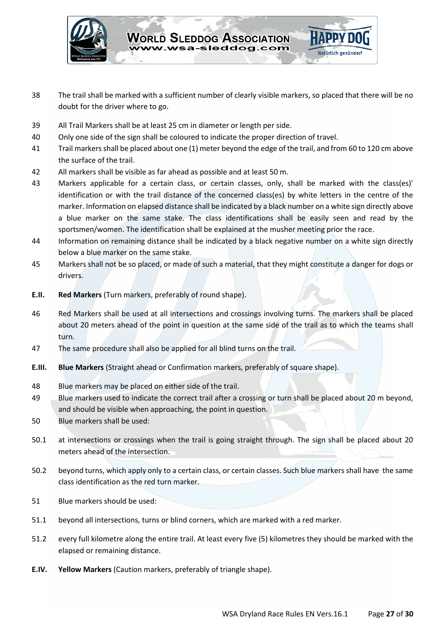

- 38 The trail shall be marked with a sufficient number of clearly visible markers, so placed that there will be no doubt for the driver where to go.
- 39 All Trail Markers shall be at least 25 cm in diameter or length per side.
- 40 Only one side of the sign shall be coloured to indicate the proper direction of travel.
- 41 Trail markers shall be placed about one (1) meter beyond the edge of the trail, and from 60 to 120 cm above the surface of the trail.
- 42 All markers shall be visible as far ahead as possible and at least 50 m.
- 43 Markers applicable for a certain class, or certain classes, only, shall be marked with the class(es)' identification or with the trail distance of the concerned class(es) by white letters in the centre of the marker. Information on elapsed distance shall be indicated by a black number on a white sign directly above a blue marker on the same stake. The class identifications shall be easily seen and read by the sportsmen/women. The identification shall be explained at the musher meeting prior the race.
- 44 Information on remaining distance shall be indicated by a black negative number on a white sign directly below a blue marker on the same stake.
- 45 Markers shall not be so placed, or made of such a material, that they might constitute a danger for dogs or drivers.
- **E.II. Red Markers** (Turn markers, preferably of round shape).
- 46 Red Markers shall be used at all intersections and crossings involving turns. The markers shall be placed about 20 meters ahead of the point in question at the same side of the trail as to which the teams shall turn.
- 47 The same procedure shall also be applied for all blind turns on the trail.
- **E.III. Blue Markers** (Straight ahead or Confirmation markers, preferably of square shape).
- 48 Blue markers may be placed on either side of the trail.
- 49 Blue markers used to indicate the correct trail after a crossing or turn shall be placed about 20 m beyond, and should be visible when approaching, the point in question.
- 50 Blue markers shall be used:
- 50.1 at intersections or crossings when the trail is going straight through. The sign shall be placed about 20 meters ahead of the intersection.
- 50.2 beyond turns, which apply only to a certain class, or certain classes. Such blue markers shall have the same class identification as the red turn marker.
- 51 Blue markers should be used:
- 51.1 beyond all intersections, turns or blind corners, which are marked with a red marker.
- 51.2 every full kilometre along the entire trail. At least every five (5) kilometres they should be marked with the elapsed or remaining distance.
- **E.IV. Yellow Markers** (Caution markers, preferably of triangle shape).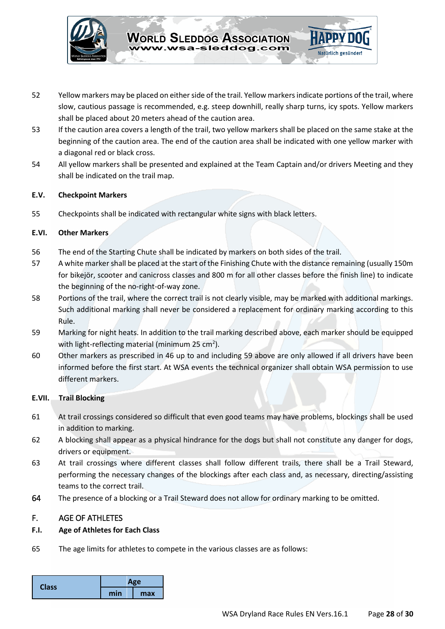

- 52 Yellow markers may be placed on either side of the trail. Yellow markers indicate portions of the trail, where slow, cautious passage is recommended, e.g. steep downhill, really sharp turns, icy spots. Yellow markers shall be placed about 20 meters ahead of the caution area.
- 53 If the caution area covers a length of the trail, two yellow markers shall be placed on the same stake at the beginning of the caution area. The end of the caution area shall be indicated with one yellow marker with a diagonal red or black cross.
- 54 All yellow markers shall be presented and explained at the Team Captain and/or drivers Meeting and they shall be indicated on the trail map.

# **E.V. Checkpoint Markers**

55 Checkpoints shall be indicated with rectangular white signs with black letters.

#### **E.VI. Other Markers**

- 56 The end of the Starting Chute shall be indicated by markers on both sides of the trail.
- 57 A white marker shall be placed at the start of the Finishing Chute with the distance remaining (usually 150m for bikejör, scooter and canicross classes and 800 m for all other classes before the finish line) to indicate the beginning of the no-right-of-way zone.
- 58 Portions of the trail, where the correct trail is not clearly visible, may be marked with additional markings. Such additional marking shall never be considered a replacement for ordinary marking according to this Rule.
- 59 Marking for night heats. In addition to the trail marking described above, each marker should be equipped with light-reflecting material (minimum 25  $cm<sup>2</sup>$ ).
- 60 Other markers as prescribed in 46 up to and including 59 above are only allowed if all drivers have been informed before the first start. At WSA events the technical organizer shall obtain WSA permission to use different markers.

# **E.VII. Trail Blocking**

- 61 At trail crossings considered so difficult that even good teams may have problems, blockings shall be used in addition to marking.
- 62 A blocking shall appear as a physical hindrance for the dogs but shall not constitute any danger for dogs, drivers or equipment.
- 63 At trail crossings where different classes shall follow different trails, there shall be a Trail Steward, performing the necessary changes of the blockings after each class and, as necessary, directing/assisting teams to the correct trail.
- 64 The presence of a blocking or a Trail Steward does not allow for ordinary marking to be omitted.

# <span id="page-27-0"></span>F. AGE OF ATHLETES

#### **F.I. Age of Athletes for Each Class**

65 The age limits for athletes to compete in the various classes are as follows:

| <b>Class</b> | Age |     |
|--------------|-----|-----|
|              | min | max |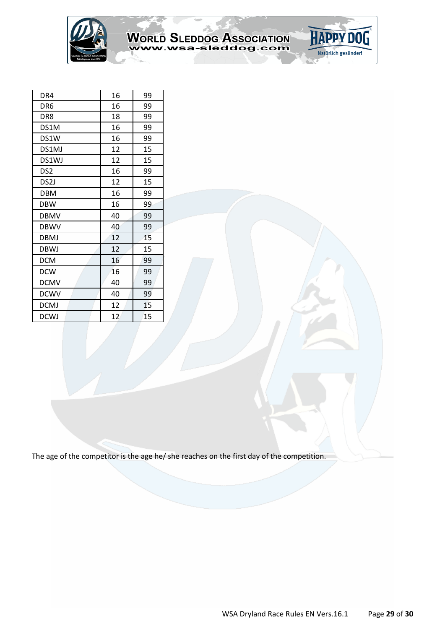

# WORLD SLEDDOG ASSOCIATION

**HAPPY DO** 

Natürlich gesünder!

| DR4               | 16 | 99 |
|-------------------|----|----|
| DR <sub>6</sub>   | 16 | 99 |
| DR8               | 18 | 99 |
| DS1M              | 16 | 99 |
| DS1W              | 16 | 99 |
| DS1MJ             | 12 | 15 |
| DS1WJ             | 12 | 15 |
| DS <sub>2</sub>   | 16 | 99 |
| DS <sub>2</sub> J | 12 | 15 |
| <b>DBM</b>        | 16 | 99 |
| DBW               | 16 | 99 |
| DBMV              | 40 | 99 |
| <b>DBWV</b>       | 40 | 99 |
| DBMJ              | 12 | 15 |
| DBWJ              | 12 | 15 |
| <b>DCM</b>        | 16 | 99 |
| <b>DCW</b>        | 16 | 99 |
| <b>DCMV</b>       | 40 | 99 |
| <b>DCWV</b>       | 40 | 99 |
| <b>DCMJ</b>       | 12 | 15 |
| <b>DCWJ</b>       | 12 | 15 |

The age of the competitor is the age he/ she reaches on the first day of the competition.